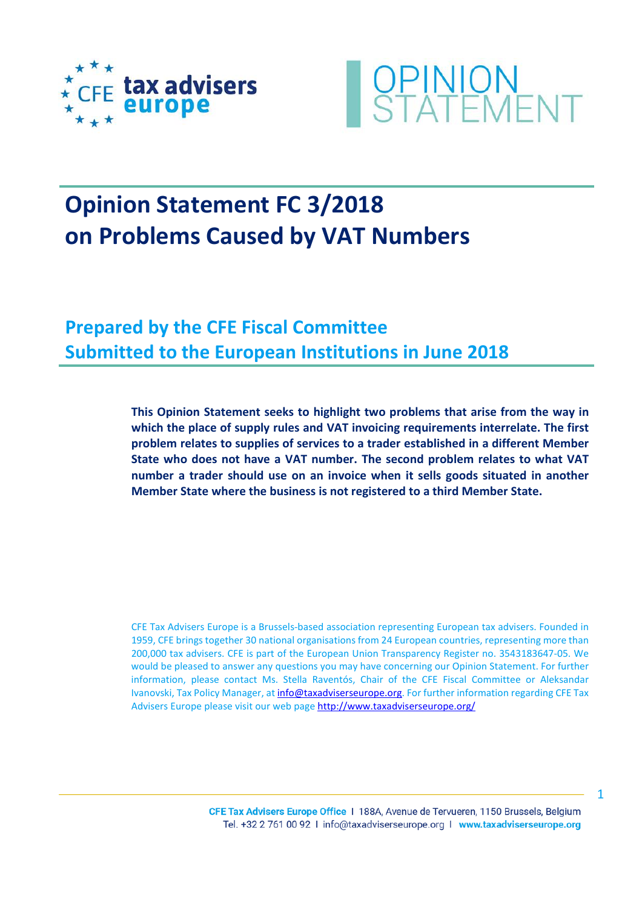



# **Opinion Statement FC 3/2018 on Problems Caused by VAT Numbers**

**Prepared by the CFE Fiscal Committee Submitted to the European Institutions in June 2018**

> **This Opinion Statement seeks to highlight two problems that arise from the way in which the place of supply rules and VAT invoicing requirements interrelate. The first problem relates to supplies of services to a trader established in a different Member State who does not have a VAT number. The second problem relates to what VAT number a trader should use on an invoice when it sells goods situated in another Member State where the business is not registered to a third Member State.**

> CFE Tax Advisers Europe is a Brussels-based association representing European tax advisers. Founded in 1959, CFE brings together 30 national organisations from 24 European countries, representing more than 200,000 tax advisers. CFE is part of the European Union Transparency Register no. 3543183647-05. We would be pleased to answer any questions you may have concerning our Opinion Statement. For further information, please contact Ms. Stella Raventós, Chair of the CFE Fiscal Committee or Aleksandar Ivanovski, Tax Policy Manager, at [info@taxadviserseurope.org.](mailto:info@taxadviserseurope.org) For further information regarding CFE Tax Advisers Europe please visit our web pag[e http://www.taxadviserseurope.org/](http://www.taxadviserseurope.org/)

1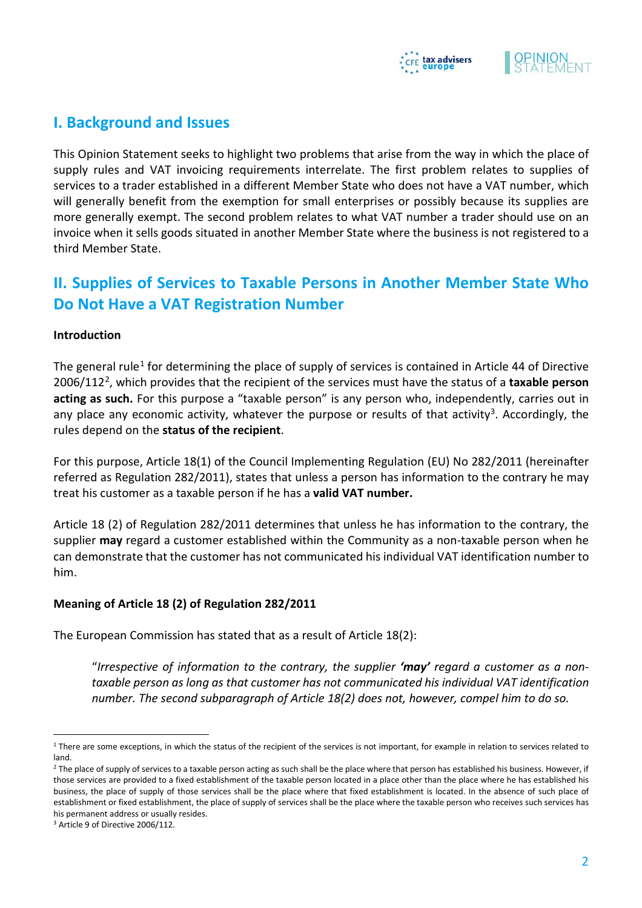



# **I. Background and Issues**

This Opinion Statement seeks to highlight two problems that arise from the way in which the place of supply rules and VAT invoicing requirements interrelate. The first problem relates to supplies of services to a trader established in a different Member State who does not have a VAT number, which will generally benefit from the exemption for small enterprises or possibly because its supplies are more generally exempt. The second problem relates to what VAT number a trader should use on an invoice when it sells goods situated in another Member State where the business is not registered to a third Member State.

# **II. Supplies of Services to Taxable Persons in Another Member State Who Do Not Have a VAT Registration Number**

#### **Introduction**

The general rule<sup>[1](#page-1-0)</sup> for determining the place of supply of services is contained in Article 44 of Directive 2006/112[2,](#page-1-1) which provides that the recipient of the services must have the status of a **taxable person acting as such.** For this purpose a "taxable person" is any person who, independently, carries out in any place any economic activity, whatever the purpose or results of that activity<sup>3</sup>. Accordingly, the rules depend on the **status of the recipient**.

For this purpose, Article 18(1) of the Council Implementing Regulation (EU) No 282/2011 (hereinafter referred as Regulation 282/2011), states that unless a person has information to the contrary he may treat his customer as a taxable person if he has a **valid VAT number.** 

Article 18 (2) of Regulation 282/2011 determines that unless he has information to the contrary, the supplier **may** regard a customer established within the Community as a non-taxable person when he can demonstrate that the customer has not communicated his individual VAT identification number to him.

#### **Meaning of Article 18 (2) of Regulation 282/2011**

The European Commission has stated that as a result of Article 18(2):

"*Irrespective of information to the contrary, the supplier 'may' regard a customer as a nontaxable person as long as that customer has not communicated his individual VAT identification number. The second subparagraph of Article 18(2) does not, however, compel him to do so.* 

<span id="page-1-0"></span><sup>&</sup>lt;sup>1</sup> There are some exceptions, in which the status of the recipient of the services is not important, for example in relation to services related to land.

<span id="page-1-1"></span><sup>&</sup>lt;sup>2</sup> The place of supply of services to a taxable person acting as such shall be the place where that person has established his business. However, if those services are provided to a fixed establishment of the taxable person located in a place other than the place where he has established his business, the place of supply of those services shall be the place where that fixed establishment is located. In the absence of such place of establishment or fixed establishment, the place of supply of services shall be the place where the taxable person who receives such services has his permanent address or usually resides.

<span id="page-1-2"></span><sup>3</sup> Article 9 of Directive 2006/112.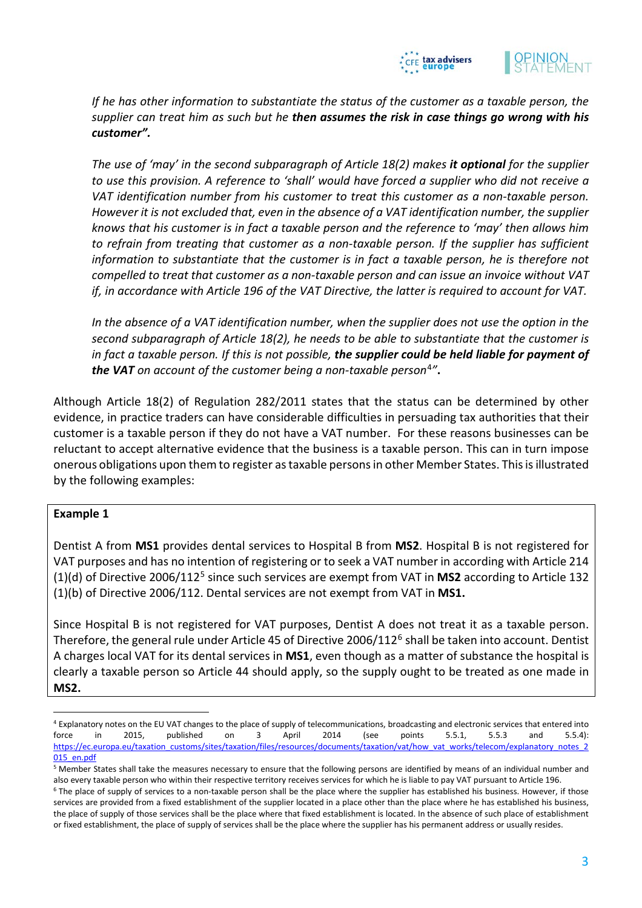



*If he has other information to substantiate the status of the customer as a taxable person, the supplier can treat him as such but he then assumes the risk in case things go wrong with his customer".* 

*The use of 'may' in the second subparagraph of Article 18(2) makes it optional for the supplier to use this provision. A reference to 'shall' would have forced a supplier who did not receive a VAT identification number from his customer to treat this customer as a non-taxable person. However it is not excluded that, even in the absence of a VAT identification number, the supplier knows that his customer is in fact a taxable person and the reference to 'may' then allows him*  to refrain from treating that customer as a non-taxable person. If the supplier has sufficient *information to substantiate that the customer is in fact a taxable person, he is therefore not compelled to treat that customer as a non-taxable person and can issue an invoice without VAT if, in accordance with Article 196 of the VAT Directive, the latter is required to account for VAT.*

*In the absence of a VAT identification number, when the supplier does not use the option in the second subparagraph of Article 18(2), he needs to be able to substantiate that the customer is in fact a taxable person. If this is not possible, the supplier could be held liable for payment of the VAT on account of the customer being a non-taxable person*[4](#page-2-0)*"***.**

Although Article 18(2) of Regulation 282/2011 states that the status can be determined by other evidence, in practice traders can have considerable difficulties in persuading tax authorities that their customer is a taxable person if they do not have a VAT number. For these reasons businesses can be reluctant to accept alternative evidence that the business is a taxable person. This can in turn impose onerous obligations upon them to register as taxable persons in other Member States. This is illustrated by the following examples:

#### **Example 1**

Dentist A from **MS1** provides dental services to Hospital B from **MS2**. Hospital B is not registered for VAT purposes and has no intention of registering or to seek a VAT number in according with Article 214 (1)(d) of Directive 2006/112[5](#page-2-1) since such services are exempt from VAT in **MS2** according to Article 132 (1)(b) of Directive 2006/112. Dental services are not exempt from VAT in **MS1.**

Since Hospital B is not registered for VAT purposes, Dentist A does not treat it as a taxable person. Therefore, the general rule under Article 45 of Directive 200[6](#page-2-2)/112<sup>6</sup> shall be taken into account. Dentist A charges local VAT for its dental services in **MS1**, even though as a matter of substance the hospital is clearly a taxable person so Article 44 should apply, so the supply ought to be treated as one made in **MS2.**

<span id="page-2-0"></span><sup>4</sup> Explanatory notes on the EU VAT changes to the place of supply of telecommunications, broadcasting and electronic services that entered into force in 2015, published on 3 April 2014 (see points 5.5.1, 5.5.3 and 5.5.4): [https://ec.europa.eu/taxation\\_customs/sites/taxation/files/resources/documents/taxation/vat/how\\_vat\\_works/telecom/explanatory\\_notes\\_2](https://ec.europa.eu/taxation_customs/sites/taxation/files/resources/documents/taxation/vat/how_vat_works/telecom/explanatory_notes_2015_en.pdf) [015\\_en.pdf](https://ec.europa.eu/taxation_customs/sites/taxation/files/resources/documents/taxation/vat/how_vat_works/telecom/explanatory_notes_2015_en.pdf)

<span id="page-2-1"></span><sup>5</sup> Member States shall take the measures necessary to ensure that the following persons are identified by means of an individual number and also every taxable person who within their respective territory receives services for which he is liable to pay VAT pursuant to Article 196.

<span id="page-2-2"></span><sup>&</sup>lt;sup>6</sup> The place of supply of services to a non-taxable person shall be the place where the supplier has established his business. However, if those services are provided from a fixed establishment of the supplier located in a place other than the place where he has established his business, the place of supply of those services shall be the place where that fixed establishment is located. In the absence of such place of establishment or fixed establishment, the place of supply of services shall be the place where the supplier has his permanent address or usually resides.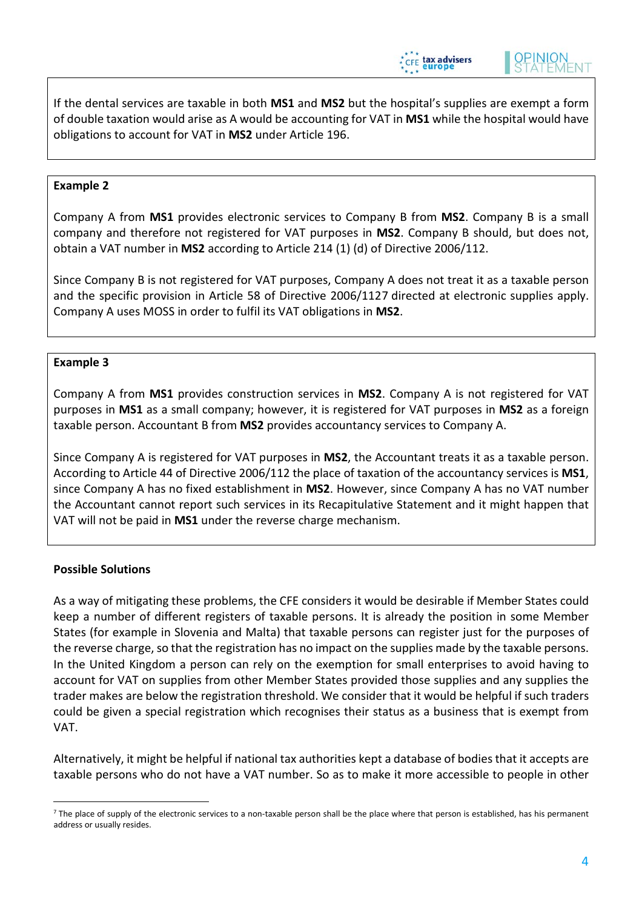

If the dental services are taxable in both **MS1** and **MS2** but the hospital's supplies are exempt a form of double taxation would arise as A would be accounting for VAT in **MS1** while the hospital would have obligations to account for VAT in **MS2** under Article 196.

#### **Example 2**

Company A from **MS1** provides electronic services to Company B from **MS2**. Company B is a small company and therefore not registered for VAT purposes in **MS2**. Company B should, but does not, obtain a VAT number in **MS2** according to Article 214 (1) (d) of Directive 2006/112.

Since Company B is not registered for VAT purposes, Company A does not treat it as a taxable person and the specific provision in Article 58 of Directive 2006/112[7](#page-3-0) directed at electronic supplies apply. Company A uses MOSS in order to fulfil its VAT obligations in **MS2**.

#### **Example 3**

Company A from **MS1** provides construction services in **MS2**. Company A is not registered for VAT purposes in **MS1** as a small company; however, it is registered for VAT purposes in **MS2** as a foreign taxable person. Accountant B from **MS2** provides accountancy services to Company A.

Since Company A is registered for VAT purposes in **MS2**, the Accountant treats it as a taxable person. According to Article 44 of Directive 2006/112 the place of taxation of the accountancy services is **MS1**, since Company A has no fixed establishment in **MS2**. However, since Company A has no VAT number the Accountant cannot report such services in its Recapitulative Statement and it might happen that VAT will not be paid in **MS1** under the reverse charge mechanism.

# **Possible Solutions**

As a way of mitigating these problems, the CFE considers it would be desirable if Member States could keep a number of different registers of taxable persons. It is already the position in some Member States (for example in Slovenia and Malta) that taxable persons can register just for the purposes of the reverse charge, so that the registration has no impact on the supplies made by the taxable persons. In the United Kingdom a person can rely on the exemption for small enterprises to avoid having to account for VAT on supplies from other Member States provided those supplies and any supplies the trader makes are below the registration threshold. We consider that it would be helpful if such traders could be given a special registration which recognises their status as a business that is exempt from VAT.

Alternatively, it might be helpful if national tax authorities kept a database of bodies that it accepts are taxable persons who do not have a VAT number. So as to make it more accessible to people in other

<span id="page-3-0"></span><sup>&</sup>lt;sup>7</sup> The place of supply of the electronic services to a non-taxable person shall be the place where that person is established, has his permanent address or usually resides.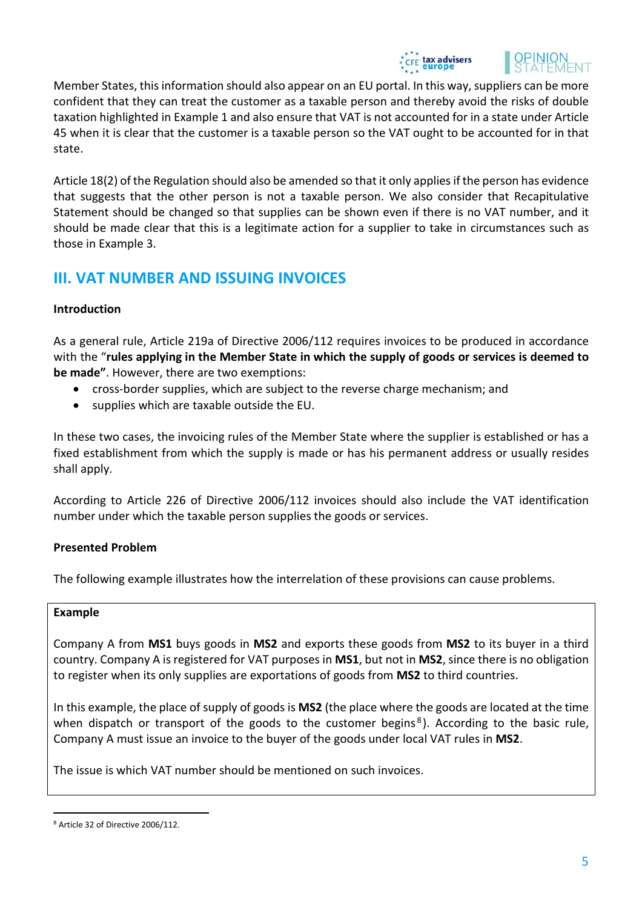



Member States, this information should also appear on an EU portal. In this way, suppliers can be more confident that they can treat the customer as a taxable person and thereby avoid the risks of double taxation highlighted in Example 1 and also ensure that VAT is not accounted for in a state under Article 45 when it is clear that the customer is a taxable person so the VAT ought to be accounted for in that state.

Article 18(2) of the Regulation should also be amended so that it only applies if the person has evidence that suggests that the other person is not a taxable person. We also consider that Recapitulative Statement should be changed so that supplies can be shown even if there is no VAT number, and it should be made clear that this is a legitimate action for a supplier to take in circumstances such as those in Example 3.

# **III. VAT NUMBER AND ISSUING INVOICES**

# **Introduction**

As a general rule, Article 219a of Directive 2006/112 requires invoices to be produced in accordance with the "**rules applying in the Member State in which the supply of goods or services is deemed to be made"**. However, there are two exemptions:

- cross-border supplies, which are subject to the reverse charge mechanism; and
- supplies which are taxable outside the EU.

In these two cases, the invoicing rules of the Member State where the supplier is established or has a fixed establishment from which the supply is made or has his permanent address or usually resides shall apply.

According to Article 226 of Directive 2006/112 invoices should also include the VAT identification number under which the taxable person supplies the goods or services.

# **Presented Problem**

The following example illustrates how the interrelation of these provisions can cause problems.

# **Example**

Company A from **MS1** buys goods in **MS2** and exports these goods from **MS2** to its buyer in a third country. Company A is registered for VAT purposes in **MS1**, but not in **MS2**, since there is no obligation to register when its only supplies are exportations of goods from **MS2** to third countries.

In this example, the place of supply of goods is **MS2** (the place where the goods are located at the time when dispatch or transport of the goods to the customer begins<sup>[8](#page-4-0)</sup>). According to the basic rule, Company A must issue an invoice to the buyer of the goods under local VAT rules in **MS2**.

The issue is which VAT number should be mentioned on such invoices.

<span id="page-4-0"></span> <sup>8</sup> Article 32 of Directive 2006/112.